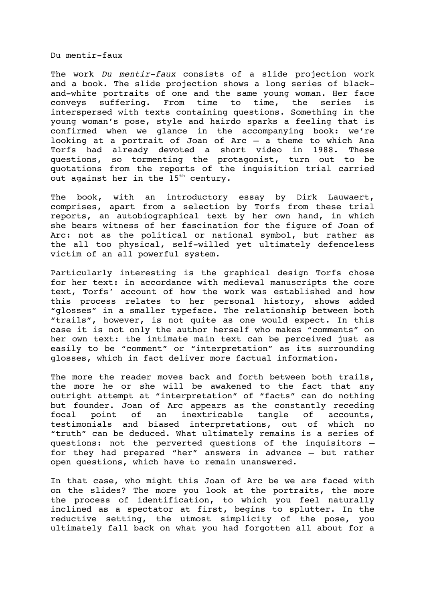Du mentir-faux

The work *Du mentir-faux* consists of a slide projection work and a book. The slide projection shows a long series of blackand-white portraits of one and the same young woman. Her face conveys suffering. From time to time, the series is interspersed with texts containing questions. Something in the young woman's pose, style and hairdo sparks a feeling that is confirmed when we glance in the accompanying book: we're looking at a portrait of Joan of Arc – a theme to which Ana Torfs had already devoted a short video in 1988. These questions, so tormenting the protagonist, turn out to be quotations from the reports of the inquisition trial carried out against her in the 15<sup>th</sup> century.

The book, with an introductory essay by Dirk Lauwaert, comprises, apart from a selection by Torfs from these trial reports, an autobiographical text by her own hand, in which she bears witness of her fascination for the figure of Joan of Arc: not as the political or national symbol, but rather as the all too physical, self-willed yet ultimately defenceless victim of an all powerful system.

Particularly interesting is the graphical design Torfs chose for her text: in accordance with medieval manuscripts the core text, Torfs' account of how the work was established and how this process relates to her personal history, shows added "glosses" in a smaller typeface. The relationship between both "trails", however, is not quite as one would expect. In this case it is not only the author herself who makes "comments" on her own text: the intimate main text can be perceived just as easily to be "comment" or "interpretation" as its surrounding glosses, which in fact deliver more factual information.

The more the reader moves back and forth between both trails, the more he or she will be awakened to the fact that any outright attempt at "interpretation" of "facts" can do nothing but founder. Joan of Arc appears as the constantly receding focal point of an inextricable tangle of accounts, testimonials and biased interpretations, out of which no "truth" can be deduced. What ultimately remains is a series of questions: not the perverted questions of the inquisitors – for they had prepared "her" answers in advance – but rather open questions, which have to remain unanswered.

In that case, who might this Joan of Arc be we are faced with on the slides? The more you look at the portraits, the more the process of identification, to which you feel naturally inclined as a spectator at first, begins to splutter. In the reductive setting, the utmost simplicity of the pose, you ultimately fall back on what you had forgotten all about for a